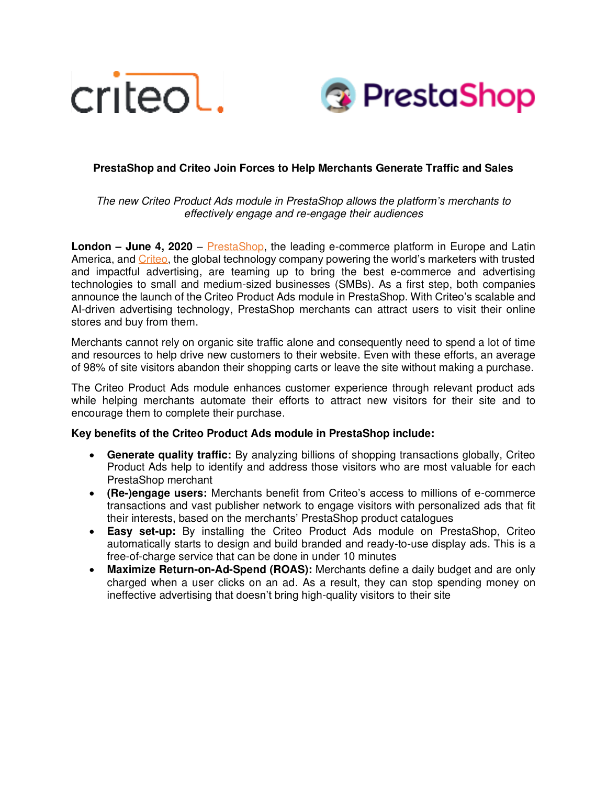



# **PrestaShop and Criteo Join Forces to Help Merchants Generate Traffic and Sales**

The new Criteo Product Ads module in PrestaShop allows *the platform's* merchants to effectively engage and re-engage their audiences

**London – June 4, 2020** – [PrestaShop,](https://www.prestashop.com/en) the leading e-commerce platform in Europe and Latin America, and [Criteo,](https://www.criteo.com/) the global technology company powering the world's marketers with trusted and impactful advertising, are teaming up to bring the best e-commerce and advertising technologies to small and medium-sized businesses (SMBs). As a first step, both companies announce the launch of the Criteo Product Ads module in PrestaShop. With Criteo's scalable and AI-driven advertising technology, PrestaShop merchants can attract users to visit their online stores and buy from them.

Merchants cannot rely on organic site traffic alone and consequently need to spend a lot of time and resources to help drive new customers to their website. Even with these efforts, an average of 98% of site visitors abandon their shopping carts or leave the site without making a purchase.

The Criteo Product Ads module enhances customer experience through relevant product ads while helping merchants automate their efforts to attract new visitors for their site and to encourage them to complete their purchase.

# **Key benefits of the Criteo Product Ads module in PrestaShop include:**

- **Generate quality traffic:** By analyzing billions of shopping transactions globally, Criteo Product Ads help to identify and address those visitors who are most valuable for each PrestaShop merchant
- **(Re-)engage users:** Merchants benefit from Criteo's access to millions of e-commerce transactions and vast publisher network to engage visitors with personalized ads that fit their interests, based on the merchants' PrestaShop product catalogues
- **Easy set-up:** By installing the Criteo Product Ads module on PrestaShop, Criteo automatically starts to design and build branded and ready-to-use display ads. This is a free-of-charge service that can be done in under 10 minutes
- **Maximize Return-on-Ad-Spend (ROAS):** Merchants define a daily budget and are only charged when a user clicks on an ad. As a result, they can stop spending money on ineffective advertising that doesn't bring high-quality visitors to their site